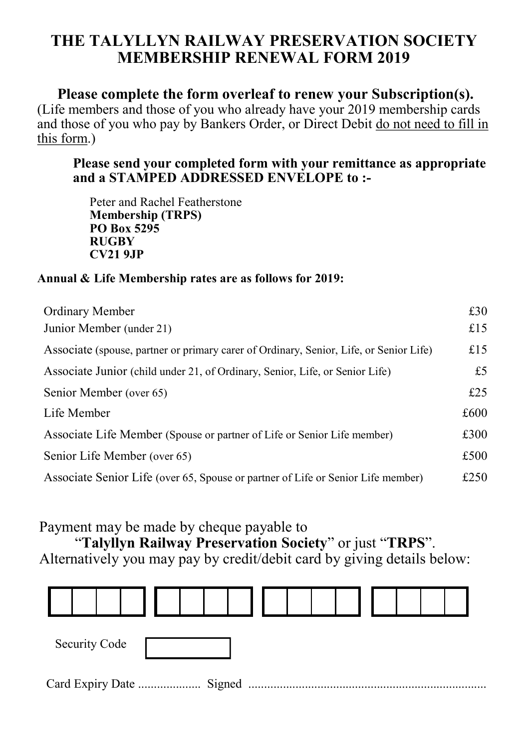# **THE TALYLLYN RAILWAY PRESERVATION SOCIETY MEMBERSHIP RENEWAL FORM 2019**

## **Please complete the form overleaf to renew your Subscription(s).**

(Life members and those of you who already have your 2019 membership cards and those of you who pay by Bankers Order, or Direct Debit do not need to fill in this form.)

### **Please send your completed form with your remittance as appropriate and a STAMPED ADDRESSED ENVELOPE to :-**

Peter and Rachel Featherstone **Membership (TRPS) PO Box 5295 RUGBY CV21 9JP**

#### **Annual & Life Membership rates are as follows for 2019:**

| Ordinary Member                                                                        | £30  |
|----------------------------------------------------------------------------------------|------|
| Junior Member (under 21)                                                               | £15  |
| Associate (spouse, partner or primary carer of Ordinary, Senior, Life, or Senior Life) | £15  |
| Associate Junior (child under 21, of Ordinary, Senior, Life, or Senior Life)           | £5   |
| Senior Member (over 65)                                                                | £25  |
| Life Member                                                                            | £600 |
| Associate Life Member (Spouse or partner of Life or Senior Life member)                | £300 |
| Senior Life Member (over 65)                                                           | £500 |
| Associate Senior Life (over 65, Spouse or partner of Life or Senior Life member)       | £250 |

### Payment may be made by cheque payable to

"**Talyllyn Railway Preservation Society**" or just "**TRPS**". Alternatively you may pay by credit/debit card by giving details below: